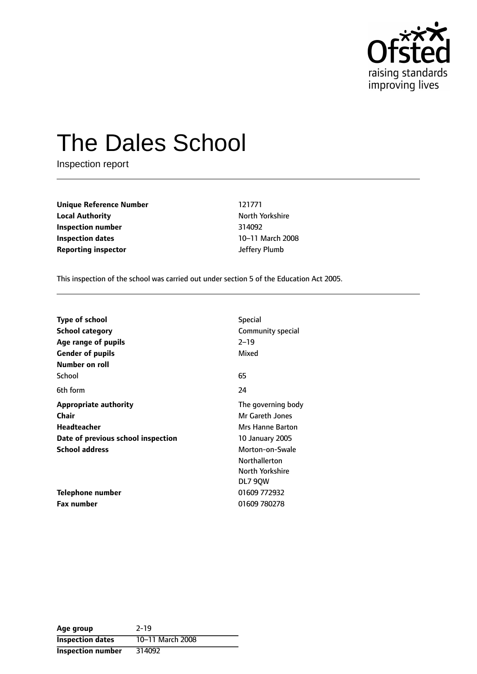

# The Dales School

Inspection report

**Unique Reference Number** 121771 **Local Authority North Yorkshire** North Yorkshire **Inspection number** 314092 **Inspection dates** 10-11 March 2008 **Reporting inspector and the Second Second Second Second Second Second Second Second Second Second Second Second Second Second Second Second Second Second Second Second Second Second Second Second Second Second Second Se** 

This inspection of the school was carried out under section 5 of the Education Act 2005.

| <b>Type of school</b>              | <b>Special</b>         |  |
|------------------------------------|------------------------|--|
| <b>School category</b>             | Community special      |  |
| Age range of pupils                | $2 - 19$               |  |
| <b>Gender of pupils</b>            | Mixed                  |  |
| Number on roll                     |                        |  |
| School                             | 65                     |  |
| 6th form                           | 24                     |  |
| <b>Appropriate authority</b>       | The governing body     |  |
| <b>Chair</b>                       | Mr Gareth Jones        |  |
| Headteacher                        | Mrs Hanne Barton       |  |
| Date of previous school inspection | <b>10 January 2005</b> |  |
| <b>School address</b>              | Morton-on-Swale        |  |
|                                    | <b>Northallerton</b>   |  |
|                                    | North Yorkshire        |  |
|                                    | DL7 90W                |  |
| Telephone number                   | 01609 772932           |  |
| <b>Fax number</b>                  | 01609 780278           |  |

| Age group                | $2 - 19$         |
|--------------------------|------------------|
| <b>Inspection dates</b>  | 10-11 March 2008 |
| <b>Inspection number</b> | 314092           |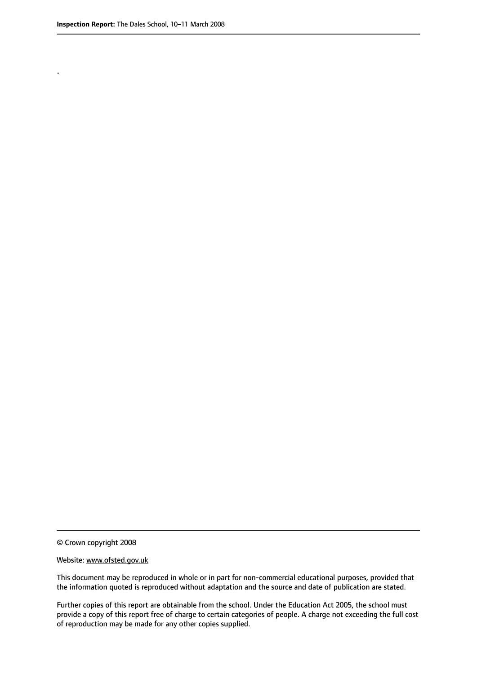.

© Crown copyright 2008

#### Website: www.ofsted.gov.uk

This document may be reproduced in whole or in part for non-commercial educational purposes, provided that the information quoted is reproduced without adaptation and the source and date of publication are stated.

Further copies of this report are obtainable from the school. Under the Education Act 2005, the school must provide a copy of this report free of charge to certain categories of people. A charge not exceeding the full cost of reproduction may be made for any other copies supplied.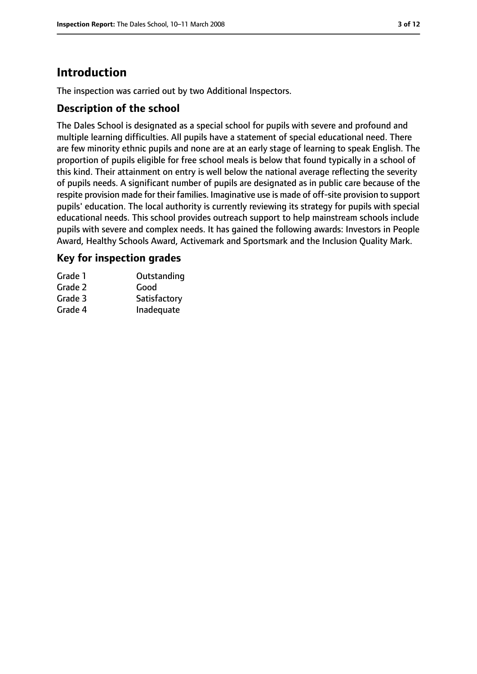# **Introduction**

The inspection was carried out by two Additional Inspectors.

## **Description of the school**

The Dales School is designated as a special school for pupils with severe and profound and multiple learning difficulties. All pupils have a statement of special educational need. There are few minority ethnic pupils and none are at an early stage of learning to speak English. The proportion of pupils eligible for free school meals is below that found typically in a school of this kind. Their attainment on entry is well below the national average reflecting the severity of pupils needs. A significant number of pupils are designated as in public care because of the respite provision made for their families. Imaginative use is made of off-site provision to support pupils' education. The local authority is currently reviewing its strategy for pupils with special educational needs. This school provides outreach support to help mainstream schools include pupils with severe and complex needs. It has gained the following awards: Investors in People Award, Healthy Schools Award, Activemark and Sportsmark and the Inclusion Quality Mark.

## **Key for inspection grades**

| Grade 1 | Outstanding  |
|---------|--------------|
| Grade 2 | Good         |
| Grade 3 | Satisfactory |
| Grade 4 | Inadequate   |
|         |              |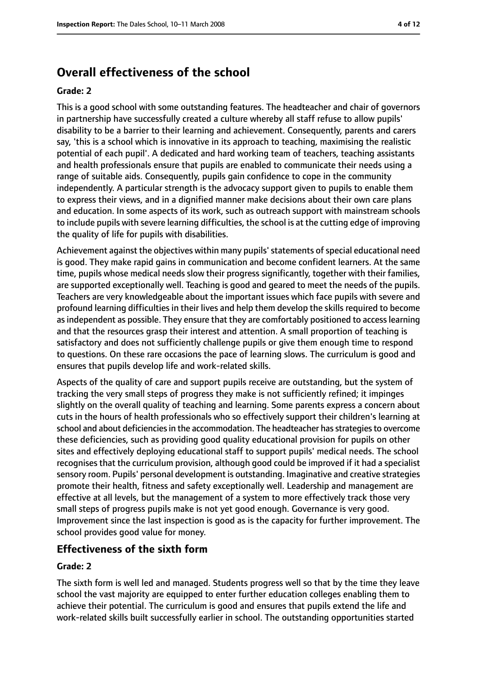# **Overall effectiveness of the school**

#### **Grade: 2**

This is a good school with some outstanding features. The headteacher and chair of governors in partnership have successfully created a culture whereby all staff refuse to allow pupils' disability to be a barrier to their learning and achievement. Consequently, parents and carers say, 'this is a school which is innovative in its approach to teaching, maximising the realistic potential of each pupil'. A dedicated and hard working team of teachers, teaching assistants and health professionals ensure that pupils are enabled to communicate their needs using a range of suitable aids. Consequently, pupils gain confidence to cope in the community independently. A particular strength is the advocacy support given to pupils to enable them to express their views, and in a dignified manner make decisions about their own care plans and education. In some aspects of its work, such as outreach support with mainstream schools to include pupils with severe learning difficulties, the school is at the cutting edge of improving the quality of life for pupils with disabilities.

Achievement against the objectives within many pupils' statements of special educational need is good. They make rapid gains in communication and become confident learners. At the same time, pupils whose medical needs slow their progress significantly, together with their families, are supported exceptionally well. Teaching is good and geared to meet the needs of the pupils. Teachers are very knowledgeable about the important issues which face pupils with severe and profound learning difficulties in their lives and help them develop the skills required to become asindependent as possible. They ensure that they are comfortably positioned to accesslearning and that the resources grasp their interest and attention. A small proportion of teaching is satisfactory and does not sufficiently challenge pupils or give them enough time to respond to questions. On these rare occasions the pace of learning slows. The curriculum is good and ensures that pupils develop life and work-related skills.

Aspects of the quality of care and support pupils receive are outstanding, but the system of tracking the very small steps of progress they make is not sufficiently refined; it impinges slightly on the overall quality of teaching and learning. Some parents express a concern about cuts in the hours of health professionals who so effectively support their children's learning at school and about deficiencies in the accommodation. The headteacher has strategies to overcome these deficiencies, such as providing good quality educational provision for pupils on other sites and effectively deploying educational staff to support pupils' medical needs. The school recognises that the curriculum provision, although good could be improved if it had a specialist sensory room. Pupils' personal development is outstanding. Imaginative and creative strategies promote their health, fitness and safety exceptionally well. Leadership and management are effective at all levels, but the management of a system to more effectively track those very small steps of progress pupils make is not yet good enough. Governance is very good. Improvement since the last inspection is good as is the capacity for further improvement. The school provides good value for money.

## **Effectiveness of the sixth form**

#### **Grade: 2**

The sixth form is well led and managed. Students progress well so that by the time they leave school the vast majority are equipped to enter further education colleges enabling them to achieve their potential. The curriculum is good and ensures that pupils extend the life and work-related skills built successfully earlier in school. The outstanding opportunities started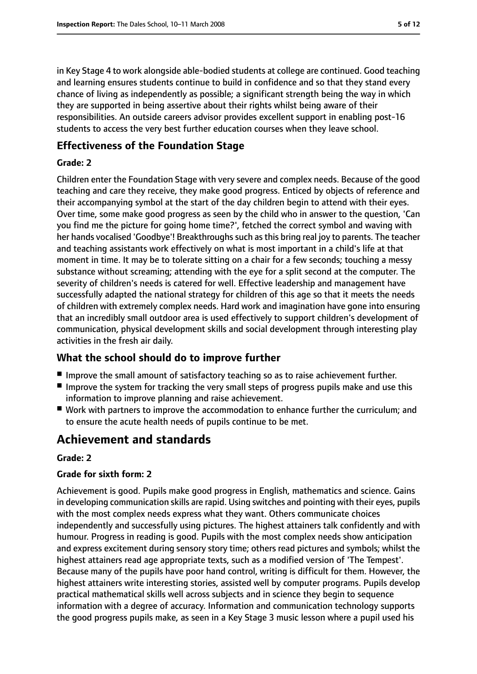in Key Stage 4 to work alongside able-bodied students at college are continued. Good teaching and learning ensures students continue to build in confidence and so that they stand every chance of living as independently as possible; a significant strength being the way in which they are supported in being assertive about their rights whilst being aware of their responsibilities. An outside careers advisor provides excellent support in enabling post-16 students to access the very best further education courses when they leave school.

## **Effectiveness of the Foundation Stage**

#### **Grade: 2**

Children enter the Foundation Stage with very severe and complex needs. Because of the good teaching and care they receive, they make good progress. Enticed by objects of reference and their accompanying symbol at the start of the day children begin to attend with their eyes. Over time, some make good progress as seen by the child who in answer to the question, 'Can you find me the picture for going home time?', fetched the correct symbol and waving with her hands vocalised 'Goodbye'! Breakthroughs such as this bring real joy to parents. The teacher and teaching assistants work effectively on what is most important in a child's life at that moment in time. It may be to tolerate sitting on a chair for a few seconds; touching a messy substance without screaming; attending with the eye for a split second at the computer. The severity of children's needs is catered for well. Effective leadership and management have successfully adapted the national strategy for children of this age so that it meets the needs of children with extremely complex needs. Hard work and imagination have gone into ensuring that an incredibly small outdoor area is used effectively to support children's development of communication, physical development skills and social development through interesting play activities in the fresh air daily.

## **What the school should do to improve further**

- Improve the small amount of satisfactory teaching so as to raise achievement further.
- Improve the system for tracking the very small steps of progress pupils make and use this information to improve planning and raise achievement.
- Work with partners to improve the accommodation to enhance further the curriculum; and to ensure the acute health needs of pupils continue to be met.

# **Achievement and standards**

#### **Grade: 2**

#### **Grade for sixth form: 2**

Achievement is good. Pupils make good progress in English, mathematics and science. Gains in developing communication skills are rapid. Using switches and pointing with their eyes, pupils with the most complex needs express what they want. Others communicate choices independently and successfully using pictures. The highest attainers talk confidently and with humour. Progress in reading is good. Pupils with the most complex needs show anticipation and express excitement during sensory story time; others read pictures and symbols; whilst the highest attainers read age appropriate texts, such as a modified version of 'The Tempest'. Because many of the pupils have poor hand control, writing is difficult for them. However, the highest attainers write interesting stories, assisted well by computer programs. Pupils develop practical mathematical skills well across subjects and in science they begin to sequence information with a degree of accuracy. Information and communication technology supports the good progress pupils make, as seen in a Key Stage 3 music lesson where a pupil used his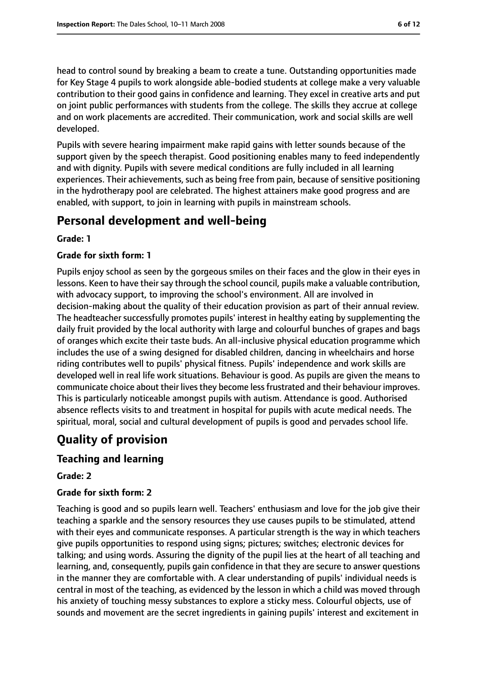head to control sound by breaking a beam to create a tune. Outstanding opportunities made for Key Stage 4 pupils to work alongside able-bodied students at college make a very valuable contribution to their good gains in confidence and learning. They excel in creative arts and put on joint public performances with students from the college. The skills they accrue at college and on work placements are accredited. Their communication, work and social skills are well developed.

Pupils with severe hearing impairment make rapid gains with letter sounds because of the support given by the speech therapist. Good positioning enables many to feed independently and with dignity. Pupils with severe medical conditions are fully included in all learning experiences. Their achievements, such as being free from pain, because of sensitive positioning in the hydrotherapy pool are celebrated. The highest attainers make good progress and are enabled, with support, to join in learning with pupils in mainstream schools.

# **Personal development and well-being**

#### **Grade: 1**

#### **Grade for sixth form: 1**

Pupils enjoy school as seen by the gorgeous smiles on their faces and the glow in their eyes in lessons. Keen to have their say through the school council, pupils make a valuable contribution, with advocacy support, to improving the school's environment. All are involved in decision-making about the quality of their education provision as part of their annual review. The headteacher successfully promotes pupils' interest in healthy eating by supplementing the daily fruit provided by the local authority with large and colourful bunches of grapes and bags of oranges which excite their taste buds. An all-inclusive physical education programme which includes the use of a swing designed for disabled children, dancing in wheelchairs and horse riding contributes well to pupils' physical fitness. Pupils' independence and work skills are developed well in real life work situations. Behaviour is good. As pupils are given the means to communicate choice about their lives they become less frustrated and their behaviour improves. This is particularly noticeable amongst pupils with autism. Attendance is good. Authorised absence reflects visits to and treatment in hospital for pupils with acute medical needs. The spiritual, moral, social and cultural development of pupils is good and pervades school life.

# **Quality of provision**

## **Teaching and learning**

#### **Grade: 2**

#### **Grade for sixth form: 2**

Teaching is good and so pupils learn well. Teachers' enthusiasm and love for the job give their teaching a sparkle and the sensory resources they use causes pupils to be stimulated, attend with their eyes and communicate responses. A particular strength is the way in which teachers give pupils opportunities to respond using signs; pictures; switches; electronic devices for talking; and using words. Assuring the dignity of the pupil lies at the heart of all teaching and learning, and, consequently, pupils gain confidence in that they are secure to answer questions in the manner they are comfortable with. A clear understanding of pupils' individual needs is central in most of the teaching, as evidenced by the lesson in which a child was moved through his anxiety of touching messy substances to explore a sticky mess. Colourful objects, use of sounds and movement are the secret ingredients in gaining pupils' interest and excitement in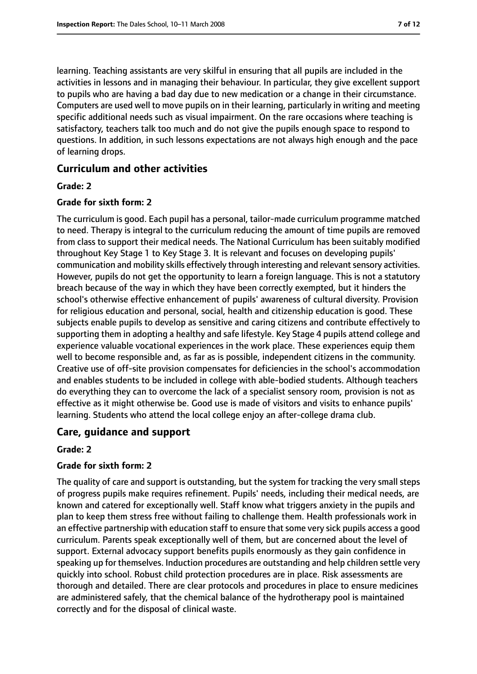learning. Teaching assistants are very skilful in ensuring that all pupils are included in the activities in lessons and in managing their behaviour. In particular, they give excellent support to pupils who are having a bad day due to new medication or a change in their circumstance. Computers are used well to move pupils on in their learning, particularly in writing and meeting specific additional needs such as visual impairment. On the rare occasions where teaching is satisfactory, teachers talk too much and do not give the pupils enough space to respond to questions. In addition, in such lessons expectations are not always high enough and the pace of learning drops.

## **Curriculum and other activities**

#### **Grade: 2**

#### **Grade for sixth form: 2**

The curriculum is good. Each pupil has a personal, tailor-made curriculum programme matched to need. Therapy is integral to the curriculum reducing the amount of time pupils are removed from class to support their medical needs. The National Curriculum has been suitably modified throughout Key Stage 1 to Key Stage 3. It is relevant and focuses on developing pupils' communication and mobility skills effectively through interesting and relevantsensory activities. However, pupils do not get the opportunity to learn a foreign language. This is not a statutory breach because of the way in which they have been correctly exempted, but it hinders the school's otherwise effective enhancement of pupils' awareness of cultural diversity. Provision for religious education and personal, social, health and citizenship education is good. These subjects enable pupils to develop as sensitive and caring citizens and contribute effectively to supporting them in adopting a healthy and safe lifestyle. Key Stage 4 pupils attend college and experience valuable vocational experiences in the work place. These experiences equip them well to become responsible and, as far as is possible, independent citizens in the community. Creative use of off-site provision compensates for deficiencies in the school's accommodation and enables students to be included in college with able-bodied students. Although teachers do everything they can to overcome the lack of a specialist sensory room, provision is not as effective as it might otherwise be. Good use is made of visitors and visits to enhance pupils' learning. Students who attend the local college enjoy an after-college drama club.

#### **Care, guidance and support**

#### **Grade: 2**

#### **Grade for sixth form: 2**

The quality of care and support is outstanding, but the system for tracking the very small steps of progress pupils make requires refinement. Pupils' needs, including their medical needs, are known and catered for exceptionally well. Staff know what triggers anxiety in the pupils and plan to keep them stress free without failing to challenge them. Health professionals work in an effective partnership with education staff to ensure that some very sick pupils access a good curriculum. Parents speak exceptionally well of them, but are concerned about the level of support. External advocacy support benefits pupils enormously as they gain confidence in speaking up for themselves. Induction procedures are outstanding and help children settle very quickly into school. Robust child protection procedures are in place. Risk assessments are thorough and detailed. There are clear protocols and procedures in place to ensure medicines are administered safely, that the chemical balance of the hydrotherapy pool is maintained correctly and for the disposal of clinical waste.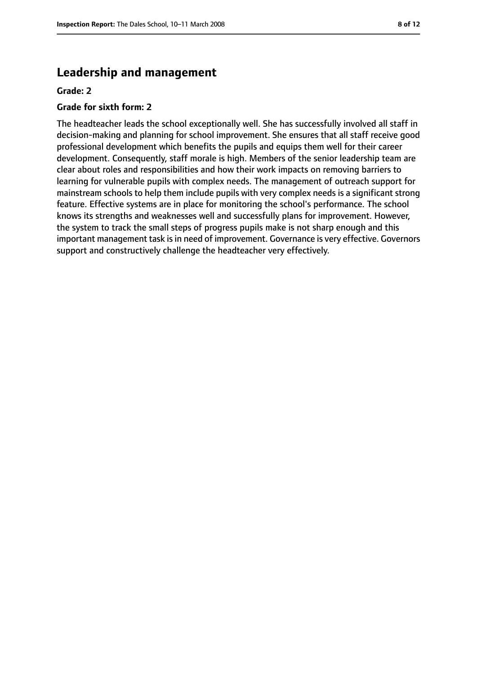# **Leadership and management**

#### **Grade: 2**

#### **Grade for sixth form: 2**

The headteacher leads the school exceptionally well. She has successfully involved all staff in decision-making and planning for school improvement. She ensures that all staff receive good professional development which benefits the pupils and equips them well for their career development. Consequently, staff morale is high. Members of the senior leadership team are clear about roles and responsibilities and how their work impacts on removing barriers to learning for vulnerable pupils with complex needs. The management of outreach support for mainstream schools to help them include pupils with very complex needs is a significant strong feature. Effective systems are in place for monitoring the school's performance. The school knows its strengths and weaknesses well and successfully plans for improvement. However, the system to track the small steps of progress pupils make is not sharp enough and this important management task is in need of improvement. Governance is very effective. Governors support and constructively challenge the headteacher very effectively.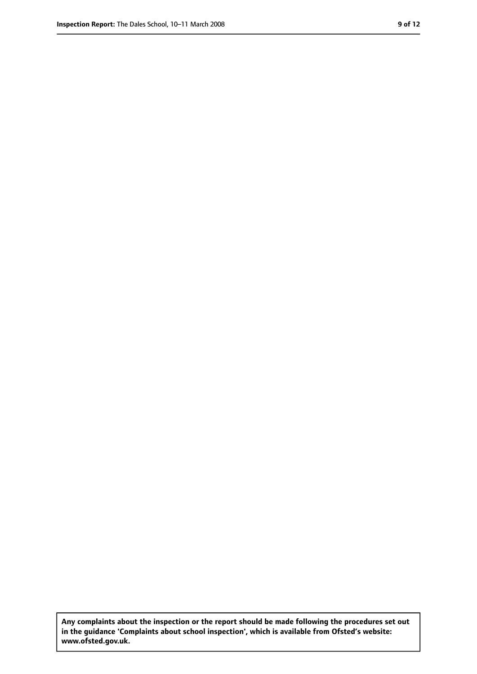**Any complaints about the inspection or the report should be made following the procedures set out in the guidance 'Complaints about school inspection', which is available from Ofsted's website: www.ofsted.gov.uk.**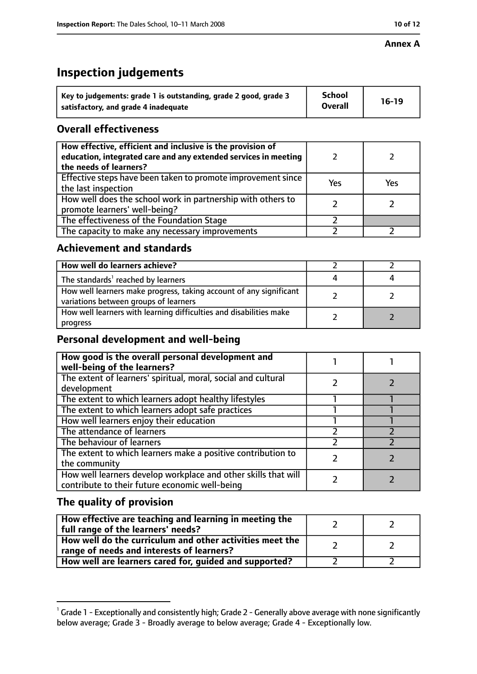#### **Annex A**

# **Inspection judgements**

| Key to judgements: grade 1 is outstanding, grade 2 good, grade 3 | <b>School</b>  | $16-19$ |
|------------------------------------------------------------------|----------------|---------|
| satisfactory, and grade 4 inadequate                             | <b>Overall</b> |         |

# **Overall effectiveness**

| How effective, efficient and inclusive is the provision of<br>education, integrated care and any extended services in meeting<br>the needs of learners? |     |     |
|---------------------------------------------------------------------------------------------------------------------------------------------------------|-----|-----|
| Effective steps have been taken to promote improvement since<br>the last inspection                                                                     | Yes | Yes |
| How well does the school work in partnership with others to<br>promote learners' well-being?                                                            |     |     |
| The effectiveness of the Foundation Stage                                                                                                               |     |     |
| The capacity to make any necessary improvements                                                                                                         |     |     |

## **Achievement and standards**

| How well do learners achieve?                                                                               |  |
|-------------------------------------------------------------------------------------------------------------|--|
| The standards <sup>1</sup> reached by learners                                                              |  |
| How well learners make progress, taking account of any significant<br>variations between groups of learners |  |
| How well learners with learning difficulties and disabilities make<br>progress                              |  |

# **Personal development and well-being**

| How good is the overall personal development and<br>well-being of the learners?                                  |  |
|------------------------------------------------------------------------------------------------------------------|--|
| The extent of learners' spiritual, moral, social and cultural<br>development                                     |  |
| The extent to which learners adopt healthy lifestyles                                                            |  |
| The extent to which learners adopt safe practices                                                                |  |
| How well learners enjoy their education                                                                          |  |
| The attendance of learners                                                                                       |  |
| The behaviour of learners                                                                                        |  |
| The extent to which learners make a positive contribution to<br>the community                                    |  |
| How well learners develop workplace and other skills that will<br>contribute to their future economic well-being |  |

# **The quality of provision**

 $^1$  Grade 1 - Exceptionally and consistently high; Grade 2 - Generally above average with none significantly below average; Grade 3 - Broadly average to below average; Grade 4 - Exceptionally low.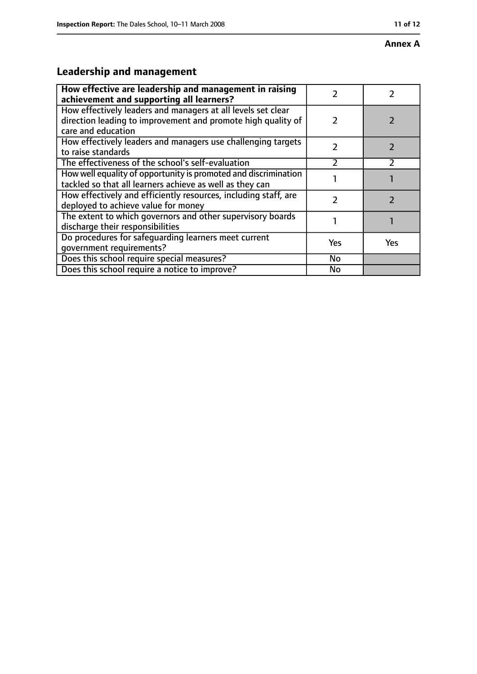#### **Annex A**

# **Leadership and management**

| How effective are leadership and management in raising<br>achievement and supporting all learners?                                                 |               |     |
|----------------------------------------------------------------------------------------------------------------------------------------------------|---------------|-----|
| How effectively leaders and managers at all levels set clear<br>direction leading to improvement and promote high quality of<br>care and education | $\mathcal{P}$ |     |
| How effectively leaders and managers use challenging targets<br>to raise standards                                                                 | フ             |     |
| The effectiveness of the school's self-evaluation                                                                                                  | $\mathfrak z$ |     |
| How well equality of opportunity is promoted and discrimination<br>tackled so that all learners achieve as well as they can                        |               |     |
| How effectively and efficiently resources, including staff, are<br>deployed to achieve value for money                                             | フ             |     |
| The extent to which governors and other supervisory boards<br>discharge their responsibilities                                                     |               |     |
| Do procedures for safeguarding learners meet current<br>qovernment requirements?                                                                   | Yes           | Yes |
| Does this school require special measures?                                                                                                         | No            |     |
| Does this school require a notice to improve?                                                                                                      | No            |     |